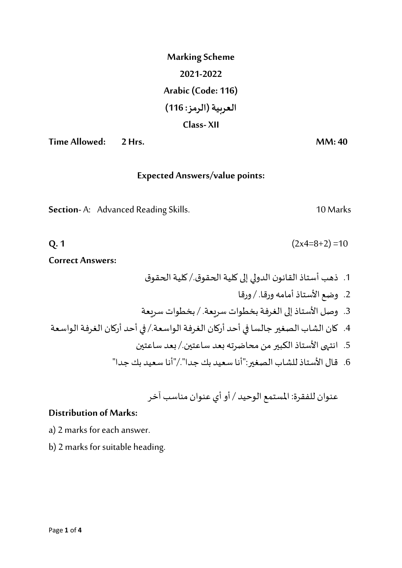| <b>Marking Scheme</b> |  |  |
|-----------------------|--|--|
| 2021-2022             |  |  |
| Arabic (Code: 116)    |  |  |
| العربية (الرمز: 116)  |  |  |
| Class-XII             |  |  |

**Time Allowed:** 2 Hrs. **MM: 40** 

## **Expected Answers/value points:**

Section-A: Advanced Reading Skills. 10 Marks

**Q. 1**  $(2x4=8+2)=10$ 

**Correct Answers:**

.1 ذهب أستاذالقانون الدوليإلىكليةالحقوق/.كليةالحقوق .2 وضع األستاذ أمامه ورقا. / ورقا .3 وصل األستاذ إلى الغرفة بخطوات سريعة. / بخطوات سريعة .4 كان الشاب الصغير جالسا في أحد أركان الغرفة الواسعة/. في أحد أركان الغرفة الواسعة .5 انتهى األستاذ الكبير من محاضرته بعد ساعتين/. بعد ساعتين .6 قال األستاذ للشاب الصغير:"أنا سعيد بك جدا"/."أنا سعيد بك جدا"

عنوان للفقرۃ: املستمع الوحيد / أو أي عنوان مناسب آخر

## **Distribution of Marks:**

- a) 2 marks for each answer.
- b) 2 marks for suitable heading.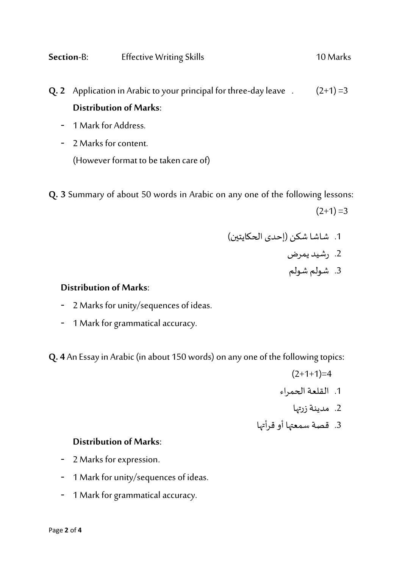**Q. 2** Application in Arabic to your principal for three-day leave  $(2+1) = 3$ **Distribution of Marks**:

- 1 Mark for Address.
- 2 Marks for content. (However format to be taken care of)

**Q. 3** Summary of about 50 words in Arabic on any one of the following lessons:

 $(2+1) = 3$ 

- .1 شاشا شكن )إحدى الحكايتين( .2 رشيد يمرض
	- .3 شولم شولم

## **Distribution of Marks**:

- 2 Marks for unity/sequences of ideas.
- 1 Mark for grammatical accuracy.

**Q. 4** An Essayin Arabic(in about 150 words) on any one of the following topics:

- $(2+1+1)=4$
- .1 القلعة الحمراء
- 2. مدينة زرتها
- .3 قصة سمعتها أو قرأتها

## **Distribution of Marks**:

- 2 Marks for expression.
- 1 Mark for unity/sequences of ideas.
- 1 Mark for grammatical accuracy.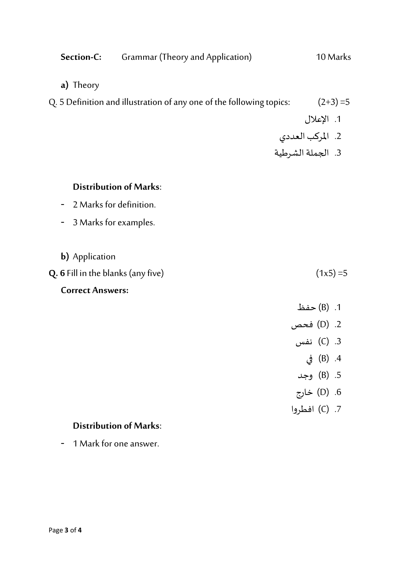| Section-C:                                | Grammar (Theory and Application)                                     | 10 Marks                               |
|-------------------------------------------|----------------------------------------------------------------------|----------------------------------------|
| a) Theory                                 |                                                                      |                                        |
|                                           | Q. 5 Definition and illustration of any one of the following topics: | $(2+3)=5$                              |
|                                           |                                                                      | 1. الإعلال                             |
|                                           |                                                                      |                                        |
|                                           |                                                                      | 2. المركب العددي<br>3. الجملة الشرطية  |
| <b>Distribution of Marks:</b>             |                                                                      |                                        |
| 2 Marks for definition.                   |                                                                      |                                        |
| 3 Marks for examples.                     |                                                                      |                                        |
| <b>b)</b> Application                     |                                                                      |                                        |
| <b>Q. 6</b> Fill in the blanks (any five) |                                                                      | $(1x5)=5$                              |
| <b>Correct Answers:</b>                   |                                                                      |                                        |
|                                           |                                                                      |                                        |
|                                           |                                                                      | 1. (B) حفظ<br>2. (D) فحص<br>3. (C) نفس |
|                                           |                                                                      |                                        |
|                                           |                                                                      | 4. (B) في                              |
|                                           |                                                                      | 5. (B) وجد                             |
|                                           |                                                                      | 6. (D) خارج                            |
|                                           |                                                                      | 7. (C) افطروا                          |
| <b>Distribution of Marks:</b>             |                                                                      |                                        |
| 1 Mark for one answer.                    |                                                                      |                                        |